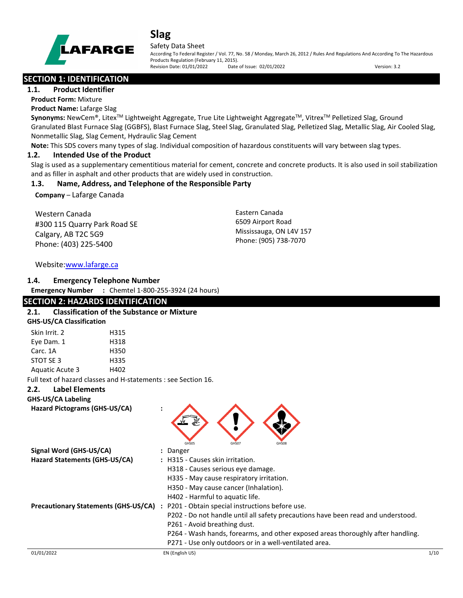

#### Safety Data Sheet

According To Federal Register / Vol. 77, No. 58 / Monday, March 26, 2012 / Rules And Regulations And According To The Hazardous Products Regulation (February 11, 2015). Revision Date: 01/01/2022 Date of Issue: 02/01/2022 Version: 3.2

## **SECTION 1: IDENTIFICATION**

#### **1.1. Product Identifier**

**Product Form:** Mixture

#### **Product Name:** Lafarge Slag

**Synonyms:** NewCem®, Litex<sup>™</sup> Lightweight Aggregate, True Lite Lightweight Aggregate™, Vitrex<sup>™</sup> Pelletized Slag, Ground Granulated Blast Furnace Slag (GGBFS), Blast Furnace Slag, Steel Slag, Granulated Slag, Pelletized Slag, Metallic Slag, Air Cooled Slag, Nonmetallic Slag, Slag Cement, Hydraulic Slag Cement

**Note:** This SDS covers many types of slag. Individual composition of hazardous constituents will vary between slag types.

#### **1.2. Intended Use of the Product**

Slag is used as a supplementary cementitious material for cement, concrete and concrete products. It is also used in soil stabilization and as filler in asphalt and other products that are widely used in construction.

## **1.3. Name, Address, and Telephone of the Responsible Party**

**Company** – Lafarge Canada

Western Canada #300 115 Quarry Park Road SE Calgary, AB T2C 5G9 Phone: (403) 225-5400

Eastern Canada 6509 Airport Road Mississauga, ON L4V 157 Phone: (905) 738-7070

## Website[:www.lafarge.ca](file://leon/customers/CUSTOMERS/Lafarge_North_America_Inc/Projects/Authoring_20180316/Batch_Folder/B_Draft_SDS/MS_Word_Files/www.lafarge.ca)

#### **1.4. Emergency Telephone Number**

**Emergency Number :** Chemtel 1-800-255-3924 (24 hours)

## **SECTION 2: HAZARDS IDENTIFICATION**

#### **2.1. Classification of the Substance or Mixture**

|  | <b>GHS-US/CA Classification</b> |
|--|---------------------------------|
|--|---------------------------------|

| Skin Irrit. 2   | H315 |
|-----------------|------|
| Eye Dam. 1      | H318 |
| Carc. 1A        | H350 |
| STOT SF3        | H335 |
| Aquatic Acute 3 | H402 |

Full text of hazard classes and H-statements : see Section 16.

#### **2.2. Label Elements**

**GHS-US/CA Labeling**

| Hazard Pictograms (GHS-US/CA) |  |
|-------------------------------|--|
|-------------------------------|--|

| GHS05<br>GHS07<br><b>GHS08</b>                                                                  |      |  |  |  |  |  |  |
|-------------------------------------------------------------------------------------------------|------|--|--|--|--|--|--|
| Signal Word (GHS-US/CA)<br>: Danger                                                             |      |  |  |  |  |  |  |
| Hazard Statements (GHS-US/CA)<br>: H315 - Causes skin irritation.                               |      |  |  |  |  |  |  |
| H318 - Causes serious eye damage.                                                               |      |  |  |  |  |  |  |
| H335 - May cause respiratory irritation.                                                        |      |  |  |  |  |  |  |
| H350 - May cause cancer (Inhalation).                                                           |      |  |  |  |  |  |  |
| H402 - Harmful to aquatic life.                                                                 |      |  |  |  |  |  |  |
| <b>Precautionary Statements (GHS-US/CA)</b><br>: P201 - Obtain special instructions before use. |      |  |  |  |  |  |  |
| P202 - Do not handle until all safety precautions have been read and understood.                |      |  |  |  |  |  |  |
| P261 - Avoid breathing dust.                                                                    |      |  |  |  |  |  |  |
| P264 - Wash hands, forearms, and other exposed areas thoroughly after handling.                 |      |  |  |  |  |  |  |
| P271 - Use only outdoors or in a well-ventilated area.                                          |      |  |  |  |  |  |  |
| 01/01/2022<br>EN (English US)                                                                   | 1/10 |  |  |  |  |  |  |

 $\bigcap$   $\bigcap$   $\bigcap$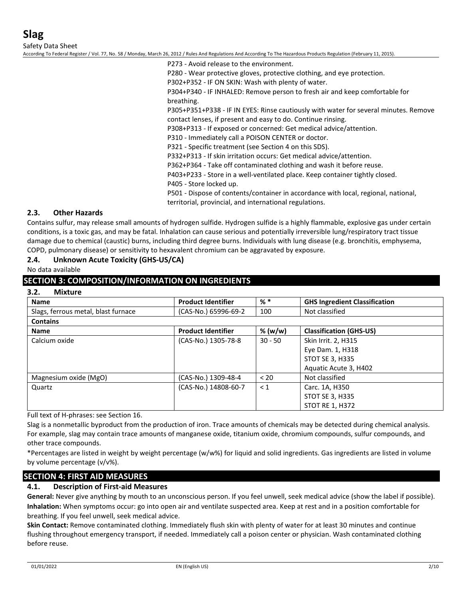Safety Data Sheet

According To Federal Register / Vol. 77, No. 58 / Monday, March 26, 2012 / Rules And Regulations And According To The Hazardous Products Regulation (February 11, 2015).

P273 - Avoid release to the environment.

P280 - Wear protective gloves, protective clothing, and eye protection.

P302+P352 - IF ON SKIN: Wash with plenty of water.

P304+P340 - IF INHALED: Remove person to fresh air and keep comfortable for breathing.

P305+P351+P338 - IF IN EYES: Rinse cautiously with water for several minutes. Remove contact lenses, if present and easy to do. Continue rinsing.

P308+P313 - If exposed or concerned: Get medical advice/attention.

P310 - Immediately call a POISON CENTER or doctor.

P321 - Specific treatment (see Section 4 on this SDS).

P332+P313 - If skin irritation occurs: Get medical advice/attention.

P362+P364 - Take off contaminated clothing and wash it before reuse.

P403+P233 - Store in a well-ventilated place. Keep container tightly closed.

P405 - Store locked up.

P501 - Dispose of contents/container in accordance with local, regional, national, territorial, provincial, and international regulations.

#### **2.3. Other Hazards**

Contains sulfur, may release small amounts of hydrogen sulfide. Hydrogen sulfide is a highly flammable, explosive gas under certain conditions, is a toxic gas, and may be fatal. Inhalation can cause serious and potentially irreversible lung/respiratory tract tissue damage due to chemical (caustic) burns, including third degree burns. Individuals with lung disease (e.g. bronchitis, emphysema, COPD, pulmonary disease) or sensitivity to hexavalent chromium can be aggravated by exposure.

#### **2.4. Unknown Acute Toxicity (GHS-US/CA)**

No data available

#### **SECTION 3: COMPOSITION/INFORMATION ON INGREDIENTS**

#### **3.2. Mixture**

| <b>Name</b>                         | <b>Product Identifier</b> | $%$ $*$   | <b>GHS Ingredient Classification</b> |
|-------------------------------------|---------------------------|-----------|--------------------------------------|
| Slags, ferrous metal, blast furnace | (CAS-No.) 65996-69-2      | 100       | Not classified                       |
| <b>Contains</b>                     |                           |           |                                      |
| <b>Name</b>                         | <b>Product Identifier</b> | % (w/w)   | <b>Classification (GHS-US)</b>       |
| Calcium oxide                       | (CAS-No.) 1305-78-8       | $30 - 50$ | Skin Irrit. 2, H315                  |
|                                     |                           |           | Eye Dam. 1, H318                     |
|                                     |                           |           | <b>STOT SE 3, H335</b>               |
|                                     |                           |           | Aquatic Acute 3, H402                |
| Magnesium oxide (MgO)               | (CAS-No.) 1309-48-4       | < 20      | Not classified                       |
| Quartz                              | (CAS-No.) 14808-60-7      | $\leq 1$  | Carc. 1A, H350                       |
|                                     |                           |           | <b>STOT SE 3, H335</b>               |
|                                     |                           |           | <b>STOT RE 1, H372</b>               |

Full text of H-phrases: see Section 16.

Slag is a nonmetallic byproduct from the production of iron. Trace amounts of chemicals may be detected during chemical analysis. For example, slag may contain trace amounts of manganese oxide, titanium oxide, chromium compounds, sulfur compounds, and other trace compounds.

\*Percentages are listed in weight by weight percentage (w/w%) for liquid and solid ingredients. Gas ingredients are listed in volume by volume percentage (v/v%).

## **SECTION 4: FIRST AID MEASURES**

#### **4.1. Description of First-aid Measures**

**General:** Never give anything by mouth to an unconscious person. If you feel unwell, seek medical advice (show the label if possible). **Inhalation:** When symptoms occur: go into open air and ventilate suspected area. Keep at rest and in a position comfortable for breathing. If you feel unwell, seek medical advice.

**Skin Contact:** Remove contaminated clothing. Immediately flush skin with plenty of water for at least 30 minutes and continue flushing throughout emergency transport, if needed. Immediately call a poison center or physician. Wash contaminated clothing before reuse.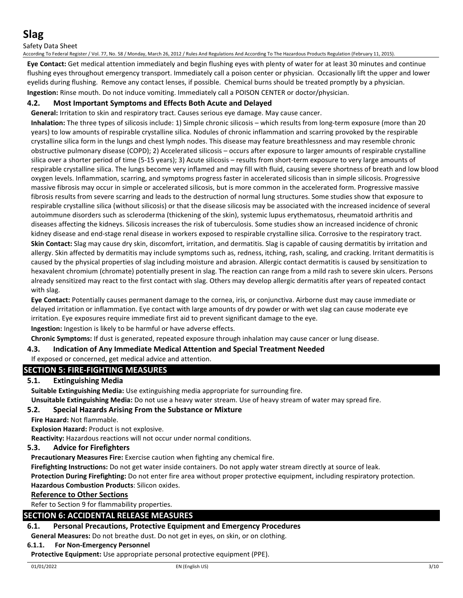Safety Data Sheet

According To Federal Register / Vol. 77, No. 58 / Monday, March 26, 2012 / Rules And Regulations And According To The Hazardous Products Regulation (February 11, 2015).

**Eye Contact:** Get medical attention immediately and begin flushing eyes with plenty of water for at least 30 minutes and continue flushing eyes throughout emergency transport. Immediately call a poison center or physician. Occasionally lift the upper and lower eyelids during flushing. Remove any contact lenses, if possible. Chemical burns should be treated promptly by a physician. **Ingestion:** Rinse mouth. Do not induce vomiting. Immediately call a POISON CENTER or doctor/physician.

## **4.2. Most Important Symptoms and Effects Both Acute and Delayed**

**General:** Irritation to skin and respiratory tract. Causes serious eye damage. May cause cancer.

**Inhalation:** The three types of silicosis include: 1) Simple chronic silicosis – which results from long-term exposure (more than 20 years) to low amounts of respirable crystalline silica. Nodules of chronic inflammation and scarring provoked by the respirable crystalline silica form in the lungs and chest lymph nodes. This disease may feature breathlessness and may resemble chronic obstructive pulmonary disease (COPD); 2) Accelerated silicosis – occurs after exposure to larger amounts of respirable crystalline silica over a shorter period of time (5-15 years); 3) Acute silicosis – results from short-term exposure to very large amounts of respirable crystalline silica. The lungs become very inflamed and may fill with fluid, causing severe shortness of breath and low blood oxygen levels. Inflammation, scarring, and symptoms progress faster in accelerated silicosis than in simple silicosis. Progressive massive fibrosis may occur in simple or accelerated silicosis, but is more common in the accelerated form. Progressive massive fibrosis results from severe scarring and leads to the destruction of normal lung structures. Some studies show that exposure to respirable crystalline silica (without silicosis) or that the disease silicosis may be associated with the increased incidence of several autoimmune disorders such as scleroderma (thickening of the skin), systemic lupus erythematosus, rheumatoid arthritis and diseases affecting the kidneys. Silicosis increases the risk of tuberculosis. Some studies show an increased incidence of chronic kidney disease and end-stage renal disease in workers exposed to respirable crystalline silica. Corrosive to the respiratory tract. **Skin Contact:** Slag may cause dry skin, discomfort, irritation, and dermatitis. Slag is capable of causing dermatitis by irritation and allergy. Skin affected by dermatitis may include symptoms such as, redness, itching, rash, scaling, and cracking. Irritant dermatitis is caused by the physical properties of slag including moisture and abrasion. Allergic contact dermatitis is caused by sensitization to hexavalent chromium (chromate) potentially present in slag. The reaction can range from a mild rash to severe skin ulcers. Persons already sensitized may react to the first contact with slag. Others may develop allergic dermatitis after years of repeated contact with slag.

**Eye Contact:** Potentially causes permanent damage to the cornea, iris, or conjunctiva. Airborne dust may cause immediate or delayed irritation or inflammation. Eye contact with large amounts of dry powder or with wet slag can cause moderate eye irritation. Eye exposures require immediate first aid to prevent significant damage to the eye.

**Ingestion:** Ingestion is likely to be harmful or have adverse effects.

**Chronic Symptoms:** If dust is generated, repeated exposure through inhalation may cause cancer or lung disease.

## **4.3. Indication of Any Immediate Medical Attention and Special Treatment Needed**

## If exposed or concerned, get medical advice and attention.

# **SECTION 5: FIRE-FIGHTING MEASURES**

## **5.1. Extinguishing Media**

**Suitable Extinguishing Media:** Use extinguishing media appropriate for surrounding fire.

**Unsuitable Extinguishing Media:** Do not use a heavy water stream. Use of heavy stream of water may spread fire.

## **5.2. Special Hazards Arising From the Substance or Mixture**

**Fire Hazard:** Not flammable.

**Explosion Hazard:** Product is not explosive.

**Reactivity:** Hazardous reactions will not occur under normal conditions.

## **5.3. Advice for Firefighters**

**Precautionary Measures Fire:** Exercise caution when fighting any chemical fire.

**Firefighting Instructions:** Do not get water inside containers. Do not apply water stream directly at source of leak.

**Protection During Firefighting:** Do not enter fire area without proper protective equipment, including respiratory protection. **Hazardous Combustion Products**: Silicon oxides.

#### **Reference to Other Sections**

Refer to Section 9 for flammability properties.

## **SECTION 6: ACCIDENTAL RELEASE MEASURES**

## **6.1. Personal Precautions, Protective Equipment and Emergency Procedures**

**General Measures:** Do not breathe dust. Do not get in eyes, on skin, or on clothing.

#### **6.1.1. For Non-Emergency Personnel**

**Protective Equipment:** Use appropriate personal protective equipment (PPE).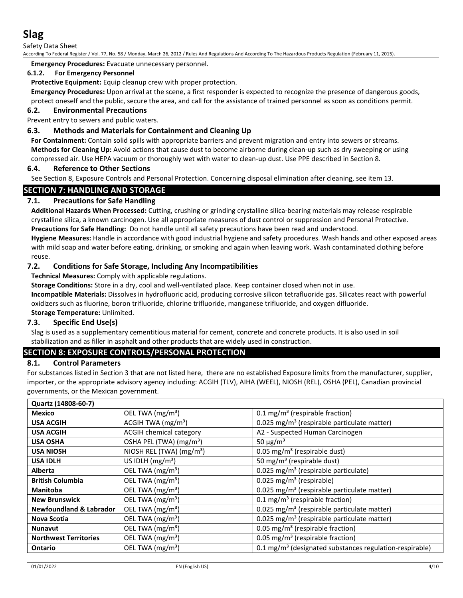Safety Data Sheet

According To Federal Register / Vol. 77, No. 58 / Monday, March 26, 2012 / Rules And Regulations And According To The Hazardous Products Regulation (February 11, 2015).

**Emergency Procedures:** Evacuate unnecessary personnel.

#### **6.1.2. For Emergency Personnel**

**Protective Equipment:** Equip cleanup crew with proper protection.

**Emergency Procedures:** Upon arrival at the scene, a first responder is expected to recognize the presence of dangerous goods, protect oneself and the public, secure the area, and call for the assistance of trained personnel as soon as conditions permit.

## **6.2. Environmental Precautions**

Prevent entry to sewers and public waters.

## **6.3. Methods and Materials for Containment and Cleaning Up**

**For Containment:** Contain solid spills with appropriate barriers and prevent migration and entry into sewers or streams. **Methods for Cleaning Up:** Avoid actions that cause dust to become airborne during clean-up such as dry sweeping or using compressed air. Use HEPA vacuum or thoroughly wet with water to clean-up dust. Use PPE described in Section 8.

#### **6.4. Reference to Other Sections**

See Section 8, Exposure Controls and Personal Protection. Concerning disposal elimination after cleaning, see item 13.

## **SECTION 7: HANDLING AND STORAGE**

## **7.1. Precautions for Safe Handling**

**Additional Hazards When Processed:** Cutting, crushing or grinding crystalline silica-bearing materials may release respirable crystalline silica, a known carcinogen. Use all appropriate measures of dust control or suppression and Personal Protective.

**Precautions for Safe Handling:** Do not handle until all safety precautions have been read and understood.

**Hygiene Measures:** Handle in accordance with good industrial hygiene and safety procedures. Wash hands and other exposed areas with mild soap and water before eating, drinking, or smoking and again when leaving work. Wash contaminated clothing before reuse.

#### **7.2. Conditions for Safe Storage, Including Any Incompatibilities**

**Technical Measures:** Comply with applicable regulations.

**Storage Conditions:** Store in a dry, cool and well-ventilated place. Keep container closed when not in use.

**Incompatible Materials:** Dissolves in hydrofluoric acid, producing corrosive silicon tetrafluoride gas. Silicates react with powerful oxidizers such as fluorine, boron trifluoride, chlorine trifluoride, manganese trifluoride, and oxygen difluoride.

**Storage Temperature:** Unlimited.

#### **7.3. Specific End Use(s)**

Slag is used as a supplementary cementitious material for cement, concrete and concrete products. It is also used in soil stabilization and as filler in asphalt and other products that are widely used in construction.

## **SECTION 8: EXPOSURE CONTROLS/PERSONAL PROTECTION**

#### **8.1. Control Parameters**

For substances listed in Section 3 that are not listed here, there are no established Exposure limits from the manufacturer, supplier, importer, or the appropriate advisory agency including: ACGIH (TLV), AIHA (WEEL), NIOSH (REL), OSHA (PEL), Canadian provincial governments, or the Mexican government.

| Quartz (14808-60-7)                |                                      |                                                                     |
|------------------------------------|--------------------------------------|---------------------------------------------------------------------|
| Mexico                             | OEL TWA (mg/m <sup>3</sup> )         | $0.1 \,\mathrm{mg/m^3}$ (respirable fraction)                       |
| <b>USA ACGIH</b>                   | ACGIH TWA $(mg/m3)$                  | 0.025 mg/m <sup>3</sup> (respirable particulate matter)             |
| <b>USA ACGIH</b>                   | <b>ACGIH chemical category</b>       | A2 - Suspected Human Carcinogen                                     |
| <b>USA OSHA</b>                    | OSHA PEL (TWA) (mg/m <sup>3</sup> )  | 50 $\mu$ g/m <sup>3</sup>                                           |
| <b>USA NIOSH</b>                   | NIOSH REL (TWA) (mg/m <sup>3</sup> ) | 0.05 mg/m <sup>3</sup> (respirable dust)                            |
| <b>USA IDLH</b>                    | US IDLH $(mg/m3)$                    | 50 mg/m <sup>3</sup> (respirable dust)                              |
| <b>Alberta</b>                     | OEL TWA (mg/m <sup>3</sup> )         | 0.025 mg/m <sup>3</sup> (respirable particulate)                    |
| <b>British Columbia</b>            | OEL TWA (mg/m <sup>3</sup> )         | 0.025 mg/m <sup>3</sup> (respirable)                                |
| <b>Manitoba</b>                    | OEL TWA (mg/m <sup>3</sup> )         | 0.025 mg/m <sup>3</sup> (respirable particulate matter)             |
| <b>New Brunswick</b>               | OEL TWA (mg/m <sup>3</sup> )         | $0.1 \text{ mg/m}^3$ (respirable fraction)                          |
| <b>Newfoundland &amp; Labrador</b> | OEL TWA (mg/m <sup>3</sup> )         | 0.025 mg/m <sup>3</sup> (respirable particulate matter)             |
| Nova Scotia                        | OEL TWA (mg/m <sup>3</sup> )         | 0.025 mg/m <sup>3</sup> (respirable particulate matter)             |
| <b>Nunavut</b>                     | OEL TWA (mg/m <sup>3</sup> )         | 0.05 mg/m <sup>3</sup> (respirable fraction)                        |
| <b>Northwest Territories</b>       | OEL TWA (mg/m <sup>3</sup> )         | 0.05 mg/m <sup>3</sup> (respirable fraction)                        |
| <b>Ontario</b>                     | OEL TWA (mg/m <sup>3</sup> )         | 0.1 mg/m <sup>3</sup> (designated substances regulation-respirable) |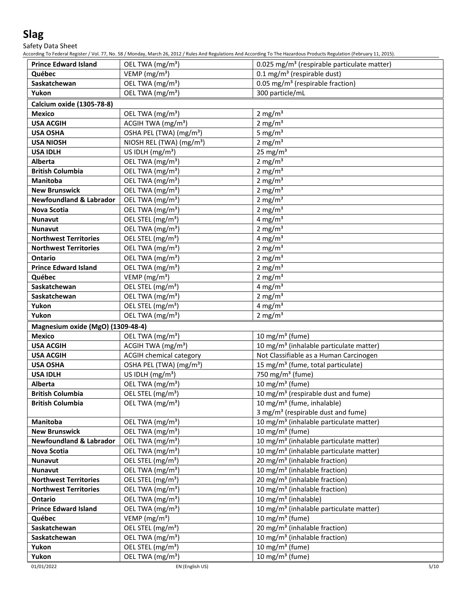Safety Data Sheet

According To Federal Register / Vol. 77, No. 58 / Monday, March 26, 2012 / Rules And Regulations And According To The Hazardous Products Regulation (February 11, 2015).

| <b>Prince Edward Island</b>        | OEL TWA (mg/m <sup>3</sup> )         | 0.025 mg/m <sup>3</sup> (respirable particulate matter) |
|------------------------------------|--------------------------------------|---------------------------------------------------------|
| Québec                             | VEMP (mg/m <sup>3</sup> )            | $0.1$ mg/m <sup>3</sup> (respirable dust)               |
| Saskatchewan                       | OEL TWA (mg/m <sup>3</sup> )         | 0.05 mg/m <sup>3</sup> (respirable fraction)            |
| Yukon                              | OEL TWA (mg/m <sup>3</sup> )         | 300 particle/mL                                         |
| Calcium oxide (1305-78-8)          |                                      |                                                         |
| <b>Mexico</b>                      | OEL TWA (mg/m <sup>3</sup> )         | 2 mg/ $m3$                                              |
| <b>USA ACGIH</b>                   | ACGIH TWA (mg/m <sup>3</sup> )       | 2 mg/m $3$                                              |
| <b>USA OSHA</b>                    | OSHA PEL (TWA) (mg/m <sup>3</sup> )  | 5 mg/ $m3$                                              |
| <b>USA NIOSH</b>                   | NIOSH REL (TWA) (mg/m <sup>3</sup> ) | 2 mg/ $m3$                                              |
| <b>USA IDLH</b>                    | US IDLH $(mg/m3)$                    | 25 mg/m $3$                                             |
| <b>Alberta</b>                     | OEL TWA (mg/m <sup>3</sup> )         | 2 mg/m $3$                                              |
| <b>British Columbia</b>            | OEL TWA (mg/m <sup>3</sup> )         | 2 mg/ $m3$                                              |
| Manitoba                           | OEL TWA (mg/m <sup>3</sup> )         | 2 mg/m $3$                                              |
| <b>New Brunswick</b>               | OEL TWA (mg/m <sup>3</sup> )         | 2 mg/m $3$                                              |
| <b>Newfoundland &amp; Labrador</b> | OEL TWA (mg/m <sup>3</sup> )         | 2 mg/ $m3$                                              |
| <b>Nova Scotia</b>                 | OEL TWA (mg/m <sup>3</sup> )         | 2 mg/ $m3$                                              |
| Nunavut                            | OEL STEL (mg/m <sup>3</sup> )        | 4 mg/ $m3$                                              |
| <b>Nunavut</b>                     | OEL TWA (mg/m <sup>3</sup> )         | 2 mg/ $m3$                                              |
| <b>Northwest Territories</b>       | OEL STEL (mg/m <sup>3</sup> )        | 4 mg/m <sup>3</sup>                                     |
| <b>Northwest Territories</b>       | OEL TWA (mg/m <sup>3</sup> )         | 2 mg/ $m3$                                              |
| <b>Ontario</b>                     | OEL TWA (mg/m <sup>3</sup> )         | 2 mg/ $m3$                                              |
| <b>Prince Edward Island</b>        | OEL TWA (mg/m <sup>3</sup> )         | 2 mg/m $3$                                              |
| Québec                             | VEMP ( $mg/m3$ )                     | 2 mg/m $3$                                              |
| Saskatchewan                       | OEL STEL (mg/m <sup>3</sup> )        | 4 mg/m $3$                                              |
| Saskatchewan                       | OEL TWA (mg/m <sup>3</sup> )         | 2 mg/m $3$                                              |
| Yukon                              | OEL STEL (mg/m <sup>3</sup> )        | 4 mg/m $\frac{3}{3}$                                    |
| Yukon                              | OEL TWA (mg/m <sup>3</sup> )         | 2 mg/ $m3$                                              |
| Magnesium oxide (MgO) (1309-48-4)  |                                      |                                                         |
| <b>Mexico</b>                      | OEL TWA (mg/m <sup>3</sup> )         | 10 mg/m <sup>3</sup> (fume)                             |
| <b>USA ACGIH</b>                   | ACGIH TWA (mg/m <sup>3</sup> )       | 10 mg/m <sup>3</sup> (inhalable particulate matter)     |
| <b>USA ACGIH</b>                   | <b>ACGIH chemical category</b>       | Not Classifiable as a Human Carcinogen                  |
| <b>USA OSHA</b>                    | OSHA PEL (TWA) (mg/m <sup>3</sup> )  | 15 mg/m <sup>3</sup> (fume, total particulate)          |
| <b>USA IDLH</b>                    | US IDLH $(mg/m3)$                    | 750 mg/m <sup>3</sup> (fume)                            |
| <b>Alberta</b>                     | OEL TWA (mg/m <sup>3</sup> )         | $\overline{10}$ mg/m <sup>3</sup> (fume)                |
| <b>British Columbia</b>            | OEL STEL (mg/m <sup>3</sup> )        | 10 mg/m <sup>3</sup> (respirable dust and fume)         |
| <b>British Columbia</b>            | OEL TWA (mg/m <sup>3</sup> )         | 10 mg/m <sup>3</sup> (fume, inhalable)                  |
|                                    |                                      | 3 mg/m <sup>3</sup> (respirable dust and fume)          |
| <b>Manitoba</b>                    | OEL TWA (mg/m <sup>3</sup> )         | 10 mg/m <sup>3</sup> (inhalable particulate matter)     |
| <b>New Brunswick</b>               | OEL TWA (mg/m <sup>3</sup> )         | 10 mg/m $3$ (fume)                                      |
| <b>Newfoundland &amp; Labrador</b> | OEL TWA (mg/m <sup>3</sup> )         | 10 mg/m <sup>3</sup> (inhalable particulate matter)     |
| Nova Scotia                        | OEL TWA (mg/m <sup>3</sup> )         | 10 mg/m <sup>3</sup> (inhalable particulate matter)     |
| <b>Nunavut</b>                     | OEL STEL (mg/m <sup>3</sup> )        | 20 mg/m <sup>3</sup> (inhalable fraction)               |
| <b>Nunavut</b>                     | OEL TWA (mg/m <sup>3</sup> )         | $10$ mg/m <sup>3</sup> (inhalable fraction)             |
| <b>Northwest Territories</b>       | OEL STEL (mg/m <sup>3</sup> )        | 20 mg/m <sup>3</sup> (inhalable fraction)               |
| <b>Northwest Territories</b>       | OEL TWA (mg/m <sup>3</sup> )         | 10 mg/m <sup>3</sup> (inhalable fraction)               |
| <b>Ontario</b>                     | OEL TWA (mg/m <sup>3</sup> )         | 10 mg/m <sup>3</sup> (inhalable)                        |
| <b>Prince Edward Island</b>        | OEL TWA (mg/m <sup>3</sup> )         | 10 mg/m <sup>3</sup> (inhalable particulate matter)     |
| Québec                             | VEMP ( $mg/m3$ )                     | 10 mg/m $3$ (fume)                                      |
| Saskatchewan                       | OEL STEL (mg/m <sup>3</sup> )        | $\overline{20}$ mg/m <sup>3</sup> (inhalable fraction)  |
| Saskatchewan                       | OEL TWA (mg/m <sup>3</sup> )         | 10 mg/m <sup>3</sup> (inhalable fraction)               |
| Yukon                              | OEL STEL (mg/m <sup>3</sup> )        | 10 mg/m $3$ (fume)                                      |
| Yukon                              | OEL TWA (mg/m <sup>3</sup> )         | 10 mg/m $3$ (fume)                                      |
|                                    |                                      |                                                         |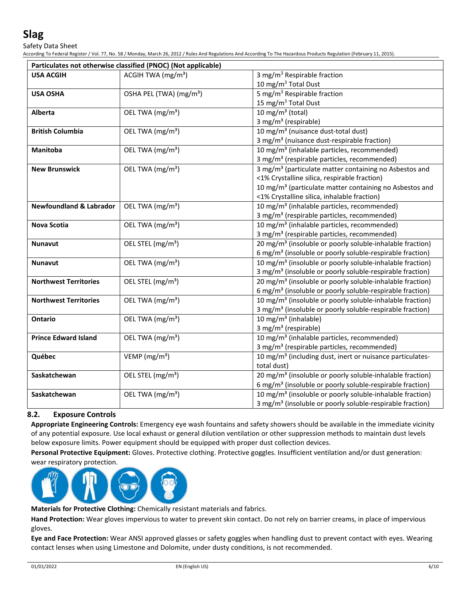Safety Data Sheet

According To Federal Register / Vol. 77, No. 58 / Monday, March 26, 2012 / Rules And Regulations And According To The Hazardous Products Regulation (February 11, 2015).

|                                    | Particulates not otherwise classified (PNOC) (Not applicable) |                                                                       |
|------------------------------------|---------------------------------------------------------------|-----------------------------------------------------------------------|
| <b>USA ACGIH</b>                   | ACGIH TWA $(mg/m3)$                                           | 3 mg/m <sup>3</sup> Respirable fraction                               |
|                                    |                                                               | 10 mg/m <sup>3</sup> Total Dust                                       |
| <b>USA OSHA</b>                    | OSHA PEL (TWA) (mg/m <sup>3</sup> )                           | 5 mg/m <sup>3</sup> Respirable fraction                               |
|                                    |                                                               | 15 mg/m <sup>3</sup> Total Dust                                       |
| <b>Alberta</b>                     | OEL TWA (mg/m <sup>3</sup> )                                  | $10$ mg/m <sup>3</sup> (total)                                        |
|                                    |                                                               | 3 mg/m <sup>3</sup> (respirable)                                      |
| <b>British Columbia</b>            | OEL TWA (mg/m <sup>3</sup> )                                  | 10 mg/m <sup>3</sup> (nuisance dust-total dust)                       |
|                                    |                                                               | 3 mg/m <sup>3</sup> (nuisance dust-respirable fraction)               |
| <b>Manitoba</b>                    | OEL TWA (mg/m <sup>3</sup> )                                  | 10 mg/m <sup>3</sup> (inhalable particles, recommended)               |
|                                    |                                                               | 3 mg/m <sup>3</sup> (respirable particles, recommended)               |
| <b>New Brunswick</b>               | OEL TWA (mg/m <sup>3</sup> )                                  | 3 mg/m <sup>3</sup> (particulate matter containing no Asbestos and    |
|                                    |                                                               | <1% Crystalline silica, respirable fraction)                          |
|                                    |                                                               | 10 mg/m <sup>3</sup> (particulate matter containing no Asbestos and   |
|                                    |                                                               | <1% Crystalline silica, inhalable fraction)                           |
| <b>Newfoundland &amp; Labrador</b> | OEL TWA (mg/m <sup>3</sup> )                                  | 10 mg/m <sup>3</sup> (inhalable particles, recommended)               |
|                                    |                                                               | 3 mg/m <sup>3</sup> (respirable particles, recommended)               |
| <b>Nova Scotia</b>                 | OEL TWA (mg/m <sup>3</sup> )                                  | 10 mg/m <sup>3</sup> (inhalable particles, recommended)               |
|                                    |                                                               | 3 mg/m <sup>3</sup> (respirable particles, recommended)               |
| <b>Nunavut</b>                     | OEL STEL (mg/m <sup>3</sup> )                                 | 20 mg/m <sup>3</sup> (insoluble or poorly soluble-inhalable fraction) |
|                                    |                                                               | 6 mg/m <sup>3</sup> (insoluble or poorly soluble-respirable fraction) |
| <b>Nunavut</b>                     | OEL TWA (mg/m <sup>3</sup> )                                  | 10 mg/m <sup>3</sup> (insoluble or poorly soluble-inhalable fraction) |
|                                    |                                                               | 3 mg/m <sup>3</sup> (insoluble or poorly soluble-respirable fraction) |
| <b>Northwest Territories</b>       | OEL STEL (mg/m <sup>3</sup> )                                 | 20 mg/m <sup>3</sup> (insoluble or poorly soluble-inhalable fraction) |
|                                    |                                                               | 6 mg/m <sup>3</sup> (insoluble or poorly soluble-respirable fraction) |
| <b>Northwest Territories</b>       | OEL TWA (mg/m <sup>3</sup> )                                  | 10 mg/m <sup>3</sup> (insoluble or poorly soluble-inhalable fraction) |
|                                    |                                                               | 3 mg/m <sup>3</sup> (insoluble or poorly soluble-respirable fraction) |
| <b>Ontario</b>                     | OEL TWA (mg/m <sup>3</sup> )                                  | 10 mg/m <sup>3</sup> (inhalable)                                      |
|                                    |                                                               | 3 mg/m <sup>3</sup> (respirable)                                      |
| <b>Prince Edward Island</b>        | OEL TWA (mg/m <sup>3</sup> )                                  | 10 mg/m <sup>3</sup> (inhalable particles, recommended)               |
|                                    |                                                               | 3 mg/m <sup>3</sup> (respirable particles, recommended)               |
| Québec                             | VEMP ( $mg/m3$ )                                              | 10 mg/m <sup>3</sup> (including dust, inert or nuisance particulates- |
|                                    |                                                               | total dust)                                                           |
| Saskatchewan                       | OEL STEL (mg/m <sup>3</sup> )                                 | 20 mg/m <sup>3</sup> (insoluble or poorly soluble-inhalable fraction) |
|                                    |                                                               | 6 mg/m <sup>3</sup> (insoluble or poorly soluble-respirable fraction) |
| Saskatchewan                       | OEL TWA (mg/m <sup>3</sup> )                                  | 10 mg/m <sup>3</sup> (insoluble or poorly soluble-inhalable fraction) |
|                                    |                                                               | 3 mg/m <sup>3</sup> (insoluble or poorly soluble-respirable fraction) |

## **8.2. Exposure Controls**

**Appropriate Engineering Controls:** Emergency eye wash fountains and safety showers should be available in the immediate vicinity of any potential exposure. Use local exhaust or general dilution ventilation or other suppression methods to maintain dust levels below exposure limits. Power equipment should be equipped with proper dust collection devices.

**Personal Protective Equipment:** Gloves. Protective clothing. Protective goggles. Insufficient ventilation and/or dust generation: wear respiratory protection.



**Materials for Protective Clothing:** Chemically resistant materials and fabrics.

**Hand Protection:** Wear gloves impervious to water to prevent skin contact. Do not rely on barrier creams, in place of impervious gloves.

**Eye and Face Protection:** Wear ANSI approved glasses or safety goggles when handling dust to prevent contact with eyes. Wearing contact lenses when using Limestone and Dolomite, under dusty conditions, is not recommended.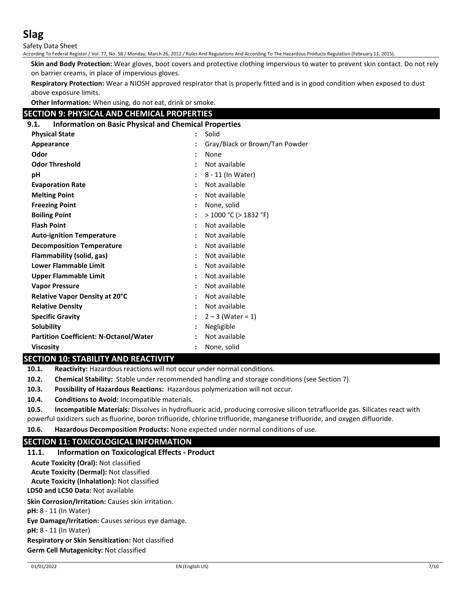Safety Data Sheet

According To Federal Register / Vol. 77, No. 58 / Monday, March 26, 2012 / Rules And Regulations And According To The Hazardous Products Regulation (February 11, 2015).

**Skin and Body Protection:** Wear gloves, boot covers and protective clothing impervious to water to prevent skin contact. Do not rely on barrier creams, in place of impervious gloves.

**Respiratory Protection:** Wear a NIOSH approved respirator that is properly fitted and is in good condition when exposed to dust above exposure limits.

**Other Information:** When using, do not eat, drink or smoke.

## **SECTION 9: PHYSICAL AND CHEMICAL PROPERTIES**

## **9.1. Information on Basic Physical and Chemical Properties**

| <b>Physical State</b>                         | $\ddot{\phantom{0}}$ | Solid                          |
|-----------------------------------------------|----------------------|--------------------------------|
| Appearance                                    |                      | Gray/Black or Brown/Tan Powder |
| Odor                                          |                      | None                           |
| <b>Odor Threshold</b>                         |                      | Not available                  |
| рH                                            |                      | 8 - 11 (In Water)              |
| <b>Evaporation Rate</b>                       |                      | Not available                  |
| <b>Melting Point</b>                          |                      | Not available                  |
| <b>Freezing Point</b>                         |                      | None, solid                    |
| <b>Boiling Point</b>                          |                      | $>$ 1000 °C ( $>$ 1832 °F)     |
| <b>Flash Point</b>                            |                      | Not available                  |
| <b>Auto-ignition Temperature</b>              |                      | Not available                  |
| <b>Decomposition Temperature</b>              |                      | Not available                  |
| Flammability (solid, gas)                     |                      | Not available                  |
| <b>Lower Flammable Limit</b>                  |                      | Not available                  |
| <b>Upper Flammable Limit</b>                  |                      | Not available                  |
| <b>Vapor Pressure</b>                         |                      | Not available                  |
| Relative Vapor Density at 20°C                |                      | Not available                  |
| <b>Relative Density</b>                       |                      | Not available                  |
| <b>Specific Gravity</b>                       |                      | $2 - 3$ (Water = 1)            |
| Solubility                                    |                      | Negligible                     |
| <b>Partition Coefficient: N-Octanol/Water</b> |                      | Not available                  |
| <b>Viscosity</b>                              |                      | None, solid                    |

## **SECTION 10: STABILITY AND REACTIVITY**

**10.1. Reactivity:** Hazardous reactions will not occur under normal conditions.

**10.2. Chemical Stability:** Stable under recommended handling and storage conditions (see Section 7).

**10.3. Possibility of Hazardous Reactions:** Hazardous polymerization will not occur.

**10.4. Conditions to Avoid:** Incompatible materials.

**10.5. Incompatible Materials:** Dissolves in hydrofluoric acid, producing corrosive silicon tetrafluoride gas. Silicates react with powerful oxidizers such as fluorine, boron trifluoride, chlorine trifluoride, manganese trifluoride, and oxygen difluoride.

**10.6. Hazardous Decomposition Products:** None expected under normal conditions of use.

## **SECTION 11: TOXICOLOGICAL INFORMATION**

**11.1. Information on Toxicological Effects - Product LD50 and LC50 Data:** Not available **Skin Corrosion/Irritation:** Causes skin irritation. **pH:** 8 - 11 (In Water) **Eye Damage/Irritation:** Causes serious eye damage. **pH:** 8 - 11 (In Water) **Respiratory or Skin Sensitization:** Not classified **Germ Cell Mutagenicity:** Not classified **Acute Toxicity (Oral):** Not classified **Acute Toxicity (Dermal):** Not classified **Acute Toxicity (Inhalation):** Not classified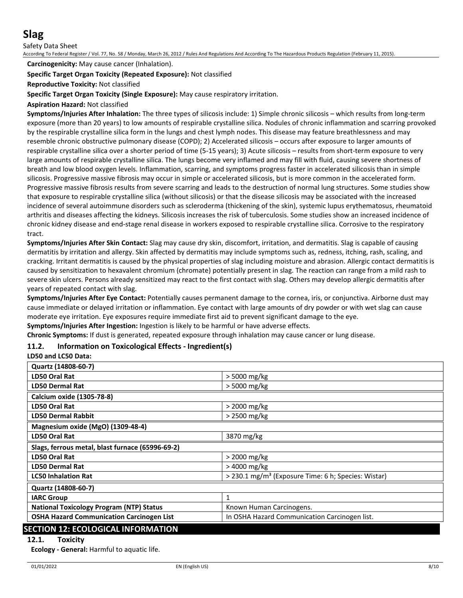Safety Data Sheet

According To Federal Register / Vol. 77, No. 58 / Monday, March 26, 2012 / Rules And Regulations And According To The Hazardous Products Regulation (February 11, 2015).

**Carcinogenicity:** May cause cancer (Inhalation).

#### **Specific Target Organ Toxicity (Repeated Exposure):** Not classified

#### **Reproductive Toxicity:** Not classified

**Specific Target Organ Toxicity (Single Exposure):** May cause respiratory irritation.

#### **Aspiration Hazard:** Not classified

**Symptoms/Injuries After Inhalation:** The three types of silicosis include: 1) Simple chronic silicosis – which results from long-term exposure (more than 20 years) to low amounts of respirable crystalline silica. Nodules of chronic inflammation and scarring provoked by the respirable crystalline silica form in the lungs and chest lymph nodes. This disease may feature breathlessness and may resemble chronic obstructive pulmonary disease (COPD); 2) Accelerated silicosis – occurs after exposure to larger amounts of respirable crystalline silica over a shorter period of time (5-15 years); 3) Acute silicosis – results from short-term exposure to very large amounts of respirable crystalline silica. The lungs become very inflamed and may fill with fluid, causing severe shortness of breath and low blood oxygen levels. Inflammation, scarring, and symptoms progress faster in accelerated silicosis than in simple silicosis. Progressive massive fibrosis may occur in simple or accelerated silicosis, but is more common in the accelerated form. Progressive massive fibrosis results from severe scarring and leads to the destruction of normal lung structures. Some studies show that exposure to respirable crystalline silica (without silicosis) or that the disease silicosis may be associated with the increased incidence of several autoimmune disorders such as scleroderma (thickening of the skin), systemic lupus erythematosus, rheumatoid arthritis and diseases affecting the kidneys. Silicosis increases the risk of tuberculosis. Some studies show an increased incidence of chronic kidney disease and end-stage renal disease in workers exposed to respirable crystalline silica. Corrosive to the respiratory tract.

**Symptoms/Injuries After Skin Contact:** Slag may cause dry skin, discomfort, irritation, and dermatitis. Slag is capable of causing dermatitis by irritation and allergy. Skin affected by dermatitis may include symptoms such as, redness, itching, rash, scaling, and cracking. Irritant dermatitis is caused by the physical properties of slag including moisture and abrasion. Allergic contact dermatitis is caused by sensitization to hexavalent chromium (chromate) potentially present in slag. The reaction can range from a mild rash to severe skin ulcers. Persons already sensitized may react to the first contact with slag. Others may develop allergic dermatitis after years of repeated contact with slag.

**Symptoms/Injuries After Eye Contact:** Potentially causes permanent damage to the cornea, iris, or conjunctiva. Airborne dust may cause immediate or delayed irritation or inflammation. Eye contact with large amounts of dry powder or with wet slag can cause moderate eye irritation. Eye exposures require immediate first aid to prevent significant damage to the eye.

**Symptoms/Injuries After Ingestion:** Ingestion is likely to be harmful or have adverse effects.

**Chronic Symptoms:** If dust is generated, repeated exposure through inhalation may cause cancer or lung disease.

## **11.2. Information on Toxicological Effects - Ingredient(s)**

#### **LD50 and LC50 Data:**

| Quartz (14808-60-7)                              |                                                                 |  |
|--------------------------------------------------|-----------------------------------------------------------------|--|
| LD50 Oral Rat                                    | > 5000 mg/kg                                                    |  |
| <b>LD50 Dermal Rat</b>                           | $>$ 5000 mg/kg                                                  |  |
| Calcium oxide (1305-78-8)                        |                                                                 |  |
| <b>LD50 Oral Rat</b>                             | > 2000 mg/kg                                                    |  |
| <b>LD50 Dermal Rabbit</b>                        | $>$ 2500 mg/kg                                                  |  |
| Magnesium oxide (MgO) (1309-48-4)                |                                                                 |  |
| LD50 Oral Rat                                    | 3870 mg/kg                                                      |  |
| Slags, ferrous metal, blast furnace (65996-69-2) |                                                                 |  |
| LD50 Oral Rat                                    | > 2000 mg/kg                                                    |  |
| <b>LD50 Dermal Rat</b>                           | > 4000 mg/kg                                                    |  |
| <b>LC50 Inhalation Rat</b>                       | > 230.1 mg/m <sup>3</sup> (Exposure Time: 6 h; Species: Wistar) |  |
| Quartz (14808-60-7)                              |                                                                 |  |
| <b>IARC Group</b>                                | 1                                                               |  |
| <b>National Toxicology Program (NTP) Status</b>  | Known Human Carcinogens.                                        |  |
| <b>OSHA Hazard Communication Carcinogen List</b> | In OSHA Hazard Communication Carcinogen list.                   |  |

## **SECTION 12: ECOLOGICAL INFORMATION**

#### **12.1. Toxicity**

**Ecology - General:** Harmful to aquatic life.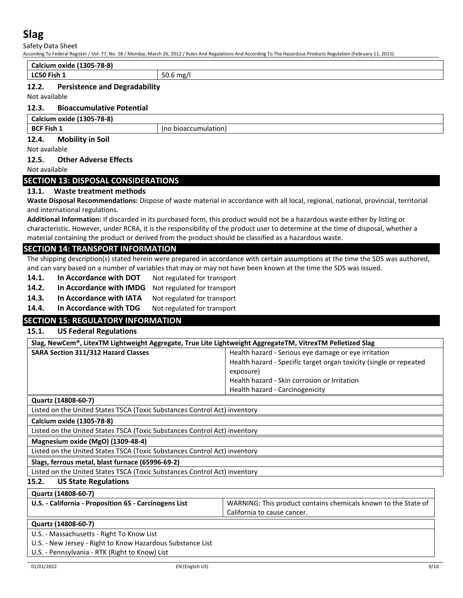Safety Data Sheet

According To Federal Register / Vol. 77, No. 58 / Monday, March 26, 2012 / Rules And Regulations And According To The Hazardous Products Regulation (February 11, 2015).

| Calcium oxide (1305-78-8)                                                                                                                                      |                                                                                                                                     |  |  |
|----------------------------------------------------------------------------------------------------------------------------------------------------------------|-------------------------------------------------------------------------------------------------------------------------------------|--|--|
| LC50 Fish 1<br>50.6 mg/l                                                                                                                                       |                                                                                                                                     |  |  |
| 12.2.<br><b>Persistence and Degradability</b>                                                                                                                  |                                                                                                                                     |  |  |
| Not available                                                                                                                                                  |                                                                                                                                     |  |  |
| 12.3.<br><b>Bioaccumulative Potential</b>                                                                                                                      |                                                                                                                                     |  |  |
|                                                                                                                                                                |                                                                                                                                     |  |  |
| <b>Calcium oxide (1305-78-8)</b><br><b>BCF Fish 1</b>                                                                                                          |                                                                                                                                     |  |  |
| (no bioaccumulation)                                                                                                                                           |                                                                                                                                     |  |  |
| 12.4.<br><b>Mobility in Soil</b><br>Not available                                                                                                              |                                                                                                                                     |  |  |
|                                                                                                                                                                |                                                                                                                                     |  |  |
| <b>Other Adverse Effects</b><br>12.5.<br>Not available                                                                                                         |                                                                                                                                     |  |  |
|                                                                                                                                                                |                                                                                                                                     |  |  |
| <b>SECTION 13: DISPOSAL CONSIDERATIONS</b>                                                                                                                     |                                                                                                                                     |  |  |
| Waste treatment methods<br>13.1.                                                                                                                               |                                                                                                                                     |  |  |
|                                                                                                                                                                | Waste Disposal Recommendations: Dispose of waste material in accordance with all local, regional, national, provincial, territorial |  |  |
| and international regulations.<br>Additional Information: If discarded in its purchased form, this product would not be a hazardous waste either by listing or |                                                                                                                                     |  |  |
|                                                                                                                                                                | characteristic. However, under RCRA, it is the responsibility of the product user to determine at the time of disposal, whether a   |  |  |
| material containing the product or derived from the product should be classified as a hazardous waste.                                                         |                                                                                                                                     |  |  |
| <b>SECTION 14: TRANSPORT INFORMATION</b>                                                                                                                       |                                                                                                                                     |  |  |
|                                                                                                                                                                | The shipping description(s) stated herein were prepared in accordance with certain assumptions at the time the SDS was authored,    |  |  |
| and can vary based on a number of variables that may or may not have been known at the time the SDS was issued.                                                |                                                                                                                                     |  |  |
| In Accordance with DOT<br>14.1.<br>Not regulated for transport                                                                                                 |                                                                                                                                     |  |  |
| 14.2.<br>In Accordance with IMDG<br>Not regulated for transport                                                                                                |                                                                                                                                     |  |  |
| 14.3.<br>In Accordance with IATA<br>Not regulated for transport                                                                                                |                                                                                                                                     |  |  |
| 14.4.<br>In Accordance with TDG<br>Not regulated for transport                                                                                                 |                                                                                                                                     |  |  |
| <b>SECTION 15: REGULATORY INFORMATION</b>                                                                                                                      |                                                                                                                                     |  |  |
| <b>US Federal Regulations</b><br>15.1.                                                                                                                         |                                                                                                                                     |  |  |
|                                                                                                                                                                |                                                                                                                                     |  |  |
| Slag, NewCem®, LitexTM Lightweight Aggregate, True Lite Lightweight AggregateTM, VitrexTM Pelletized Slag<br><b>SARA Section 311/312 Hazard Classes</b>        | Health hazard - Serious eye damage or eye irritation                                                                                |  |  |
|                                                                                                                                                                |                                                                                                                                     |  |  |
|                                                                                                                                                                |                                                                                                                                     |  |  |
|                                                                                                                                                                | Health hazard - Specific target organ toxicity (single or repeated                                                                  |  |  |
|                                                                                                                                                                | exposure)<br>Health hazard - Skin corrosion or Irritation                                                                           |  |  |
|                                                                                                                                                                | Health hazard - Carcinogenicity                                                                                                     |  |  |
| Quartz (14808-60-7)                                                                                                                                            |                                                                                                                                     |  |  |
| Listed on the United States TSCA (Toxic Substances Control Act) inventory                                                                                      |                                                                                                                                     |  |  |
| Calcium oxide (1305-78-8)                                                                                                                                      |                                                                                                                                     |  |  |
| Listed on the United States TSCA (Toxic Substances Control Act) inventory                                                                                      |                                                                                                                                     |  |  |
| Magnesium oxide (MgO) (1309-48-4)                                                                                                                              |                                                                                                                                     |  |  |
| Listed on the United States TSCA (Toxic Substances Control Act) inventory                                                                                      |                                                                                                                                     |  |  |
| Slags, ferrous metal, blast furnace (65996-69-2)                                                                                                               |                                                                                                                                     |  |  |
| Listed on the United States TSCA (Toxic Substances Control Act) inventory                                                                                      |                                                                                                                                     |  |  |
| 15.2.<br><b>US State Regulations</b>                                                                                                                           |                                                                                                                                     |  |  |
|                                                                                                                                                                |                                                                                                                                     |  |  |
| Quartz (14808-60-7)                                                                                                                                            |                                                                                                                                     |  |  |
| U.S. - California - Proposition 65 - Carcinogens List                                                                                                          | WARNING: This product contains chemicals known to the State of<br>California to cause cancer.                                       |  |  |
|                                                                                                                                                                |                                                                                                                                     |  |  |
| Quartz (14808-60-7)                                                                                                                                            |                                                                                                                                     |  |  |
| U.S. - Massachusetts - Right To Know List<br>U.S. - New Jersey - Right to Know Hazardous Substance List                                                        |                                                                                                                                     |  |  |
| U.S. - Pennsylvania - RTK (Right to Know) List                                                                                                                 |                                                                                                                                     |  |  |